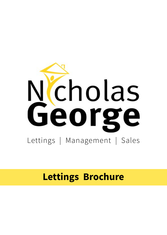

# **Lettings Brochure**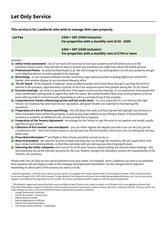#### **This service is for Landlords who wish to manage their own property.**

| Let Fee | $£350 + VAT (£420$ inclusive)<br>For properties with a monthly rent of £0 - £699    |
|---------|-------------------------------------------------------------------------------------|
|         | $£450 + VAT (£540 inclusive)$<br>For properties with a monthly rent of £700 or more |

Includes:

- **Initial rental assessment**  one of our team will come out to visit your property and will advise you as to the potential rental income. They will also be able to answer any questions you might have about the whole process.
- **Professional Photos** by www.[benfearnhead.co.uk](https://benfearnhead.co.uk/). We will arrange for our photographer to visit your property and get some fabulous photos, to entice people in for viewings.
- **Advertising** on our company website and also numerous large national portals including Rightmove and OnThe Market. Also window display at our prominent Moseley office.
- **'To Let' board** at the property if required some Landlords prefer not to have these though it can help the level of interest in the property. Approximately a quarter of all of our enquiries come from people seeing the 'To Let' board.
- **Escorted viewings** we think it is generally best if the agent carries out the viewings. In our experience most people feel more comfortable viewing with an agent than with the owner. We would therefore hold a key to the property, and can liaise with yourself or current tenants, depending on who is currently living at the property.
- **Comprehensive Tenant referencing service and full credit check**  it is very important to us to find you the right Tenant. Our business has been built on our reputation, and good Tenants are essential to maintaining this reputation.
- **Preparation of a list of fixtures and fittings** this will detail the walls and flooring and will highlight any furniture or other removable items within the property, as well as any major defects to any fitting or fixture. A full professional inventory is available at additional cost, should you feel this is required.
- **Preparation of the Tenancy Agreement** we arrange for the Tenant to sign this prior to occupation and would usually sign this on your behalf.
- **Collection of first months' rent and deposit** you can either register the deposit yourself or we can do it for you for a small extra cost \*. Once the Tenant moves in, we will pay over the first months' rent to you, less our letting fee and any other costs.
- **Prescribed Information** \*\* and Right to Rent Checks would be carried out by us.
- **Move-in procedure** we meet the tenants to hand over keys ans run through the inventory. We will supply them with your contact and banking details, so that they can liaise with you and pay you directly going forward.
- **Informing the utility companies** and Council Tax of the new Tenancy and providing any relevant meter readings this will essentially set up the relevant accounts for the new Tenants, though this ultimately remains the responsibility of the Tenants, not ourselves.

Please note, the Let Only service can be tailored to suit your needs. For example, some Landlords just want us to advertise their property and are happy to take on the viewings and paperwork themselves. Our fee charged will be adjusted depending on which parts of the process you want us to do.

\* Deposit registration - with the service above you can opt for us to register the Tenant's deposit with Tenancy Deposit Scheme (TDS) Custodial scheme for an extra charge of £30 + VAT (£36 inclusive). Further details of this scheme can be found at [custodial.tenancydepositscheme.com.](https://www.tenancydepositscheme.com/) You can also opt to register it yourself free of charge with one of a number of schemes and will just need to supply us with the relevant paperwork.

\*\* All landlords / agents are required by law to carry out Right to Rent Checks on ALL adult occupiers. As of October 2015, new legislation dictates that Prescribed Information is given to all tenants, at the commencement of a new tenancy, when a tenancy becomes a Statutory Periodic Tenancy, and for any other changes in tenancy. The Prescribed Information required to be served is as follows:

- Energy Performance Certificate
- How To Rent Guide current issue
- Deposit Scheme Leaflet
- Deposit Registration Certificate
- Deposit Prescribed Information
- Current gas safety certificate if applicable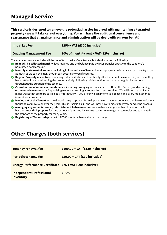### **Managed Service**

**This service is designed to remove the potential hassles involved with maintaining a tenanted property - we will take care of everything. You will have the additional convenience and reassurance that all maintenance and administration will be dealt with on your behalf.**

 **Initial Let Fee £250 + VAT (£300 inclusive)**

 **Ongoing Management Fee 10% of monthly rent + VAT (12% inclusive)**

The managed service includes all the benefits of the Let Only Service, but also includes the following:

- **Rent will be collected monthly**, fees retained and the balance paid by BACS transfer directly to the Landlord's nominated bank account.
- **Monthly statement of account**, including full breakdown of fees and any stoppages / maintenance costs. We try to do as much as we can by email, though can post this to you if required.
- **Regular Property inspections** we carry out an initial inspection shortly after the tenant has moved in, to ensure they have settled in and are keeping the property nicely. Following this inspection, we carry out regular inspections throughout the duration of the tenancy.
- **Co-ordination of repairs or maintenance**, including arranging for tradesmen to attend the Property and obtaining estimates where necessary. Supervising works and settling accounts from rents received. We will inform you of any major works that are to be carried out. Alternatively, if you prefer we can inform you of each and every maintenance issue at your property.
- **Moving out of the Tenant** and dealing with any stoppages from deposit we are very experienced and have carried out thousands of move outs over the years. This in itself is a skill and we know how to most effectively handle the process.
- **Arranging any remedial works/refurbishment between tenancies** we have a large number of Landlords who have not seen their property for long periods of time and have entrusted us to manage the tenancies and to maintain the standard of the property for many years.
- **Registering of Tenant's deposit** with TDS Custodial scheme at no extra charge.

### **Other Charges (both services)**

| <b>Tenancy renewal fee</b>                               | $£100.00 + VAT (£120 inclusive)$ |
|----------------------------------------------------------|----------------------------------|
| <b>Periodic tenancy fee</b>                              | $£50.00 + VAT (£60 inclusive)$   |
| Energy Performance Certificate £75 + VAT (£90 inclusive) |                                  |
| <b>Independent Professional</b><br><b>Inventory</b>      | <b>£POA</b>                      |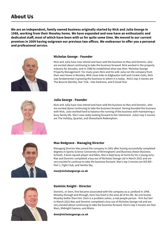**We are an independent, family owned business originally started by Nick and Julia George in 1988, working from their Moseley home. We have expanded and now have an enthusiastic and dedicated staff, most of which have been with us for quite some time. We moved to our current premises in 2009 having outgrown our previous two offices. We endeavour to offer you a personal and professional service.**



#### **Nicholas George - Founder**

Nick and Julia have now retired and have sold the business to Max and Dominic, who are excited about continuing to take the business forward. Nick worked in the property industry for decades, and in 1988 he established what was then 'Nicholas George Property Management'. For many years Nick and his wife Julia ran the company from their own home in Moseley. With close links to Edgbaston Golf and Cricket clubs, Nick was fundamental in growing the business to where it is today . Nick's top 3 movies are The Bourne Identity, Star Trek - Into Darkness, and A Good Year.



#### **Julia George - Founder**

Nick and Julia have now retired and have sold the business to Max and Dominic, who are excited about continuing to take the business forward. Having founded the business with Nick, Julia worked hard to balance the running of the business with maintaining a busy family life. She's now really looking forward to her retirement. Julia's top 3 movies are The Holiday, Quartet, and Shawshank Redemption.



#### **Max Redgrave - Managing Director**

Managing Director Max joined the company in 2002 after having successfully completed degrees in Sports Science (University of Birmingham) and Business (Aston Business School). A keen squash player and biker, Max is kept busy at home by his 2 young sons. Max and Dominic completed a buy out of Nicholas George Ltd in March 2022 and are very excited to continue to take the business forward. Max's top 3 movies are Kill Bill - Part 1, Fight Club, and Vanilla Sky.

**[max@nicholasgeorge.co.uk](mailto:max%40nicholasgeorge.co.uk?subject=)**



#### **Dominic Knight - Director**

Dominic, or Dom, first became associated with the company as a Landlord in 1998. Moseley through and through, Dom has lived in the area all of his life. No one knows Moseley better than him. Dom is a problem solver, a real people person - firm but fair! In March 2022 Max and Dominic completed a buy out of Nicholas George Ltd and are very excited about continuing to take the business forward. Dom's top 3 movies are Star Wars, Midnight Express, and Aliens.

**[dom@nicholasgeorge.co.uk](mailto:dom@nicholasgeorge.co.uk)**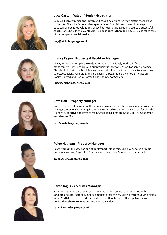

#### **Lucy Carter - Valuer / Senior Negotiator**

Lucy is a keen swimmer and jogger, and has a fine art degree from Nottingham Trent University. She is half Argentinian, speaks fluent Spanish, and loves photography. Lucy carries out Sales valuations, as well as negotiating Sales and Lets to a successful conclusion. She is friendly, enthusiastic and is always there to help. Lucy also takes care of the company's social media.

#### **[lucy@nicholasgeorge.co.uk](mailto:lucy%40nicholasgeorge.co.uk?subject=)**



#### **Linsey Fegan - Property & Facilities Manager**

Linsey joined the company in early 2021, having previously worked in facilities management. Linsey carries out our property inspections, as well as some viewings. She also helps with the Block Management side of the business. Linsey likes watching sports, especially Formula 1, and is a keen Kickboxer herself. Her top 3 movies are Rocky 2, Creed and Happy Potter & The Chamber of Secrets.

**[linsey@nicholasgeorge.co.uk](mailto:linsey%40nicholasgeorge.co.uk?subject=)**



#### **Cate Hall - Property Manager**

Cate is our newest member of the team and works in the office as one of our Property Managers. Previously working in a Michelin starred restaurant, she is a real foodie. She's friendly, supportive and loves to read. Cate's top 3 films are Gone Girl, The Gentleman and Mamma Mia.

**[cate@nicholasgeorge.co.uk](mailto:cate%40nicholasgeorge.co.uk?subject=)**



#### **Paige Halligan - Property Manager**

Paige works in the office as one of our Property Managers. She is very much a foodie and loves to cook. Paige's top 3 movies are Brave, Lone Survivor and Superbad.

#### **paig[e@nicholasgeorge.co.uk](mailto:paige%40nicholasgeorge.co.uk?subject=)**



#### **Sarah Inglis - Accounts Manager**

Sarah works in the office as Accounts Manager - processing rents, assisting with landlord and contractor payments, amongst other things. Originally from South Shields in the North East, her 'Geordie' accent is a breath of fresh air! Her top 3 movies are Annie, Shawshank Redemption and Hacksaw Ridge.

#### **[sarah@nicholasgeorge.co.uk](mailto:mailto:sarah%40nicholasgeorge.co.uk?subject=)**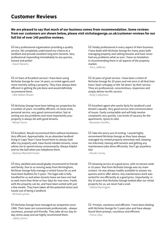### **Customer Reviews**

#### **We are pleased to say that much of our business comes from recommendation. Some reviews from our customers are shown below, please visit [nicholasgeorge.co.uk/customer-reviews](http://www.nicholasgeorge.co.uk/customer-reviews) for our full list of over 140 positive reviews.**

**GG** Very professional organisation providing a quality service. NG completely understand my criteria as a landlord and provide excellent long term tenants. Very professional responding immediately to any queries, honest and polite!

- David Stevens

**66 14 Years of Excellent service! I have been using** Nicholas George for over 14 years, as rental agents and more recently selling a property. They have always been efficient in getting the job done and would definitely recommend them.

- Ollie Weber-Brown

**S**S Nicholas George have been letting our properties for a number of years. Incredibly efficient, no loose ends, personal service, very good communication, fast at sorting out any problems and most importantly your property is always let with good tenants. - Melvyn Dunn

**Excellent. Would recommend them without hesitation.** Very efficient. Approachable. As an absentee landlord living in Cape Town I have found them to always look after my property well, have found reliable tenants, never advise me to spend money unnecessarily. Always helpful and on the ball when you telephone them. - Barbara Marshall-Foster

**f** Very satisfied and would gladly recommend to friends and family. Due to us moving away from Birmingham, Nichloas George fully manage a rented house for us and have been faultless for 5 years. The legal side is fully handled for us and when tenants leave we have not had to wait more than three or four days for new ones. Faults with the property can be, and have been sorted with just a few emails. They have taken all the potential stress and hassle out of being a landlord.

- Richard Lyman

**S**S Nicholas George have managed our properties since 1998. Their team are consummate professionals - always courteous, prompt and friendly. They take all our day-today stress away and we highly recommend them. - Jabba Zamin

**GG** Totally professional in every aspect of their business. I have dealt with Nicholas George for many years both managing property and vetting tenants and have never had any problems what so ever. I have no hesitation in recommending them in all aspects of the property market.

- Terry Jefferies

**66** 20 years of great service. I have been a client of Nicholas George for 20 years and not once in all that time have I been unhappy or felt 'let down' by their service. They are professional, conscientious, responsive and simply deliver terrific service. - Andy Colquhoun

**Excellent agent who works fairly for landlord's and** tenant's equally. Very good service and communication of issues. Easily contactable and will help resolve complaints very quickly. Low levels of vacancy for the apartments. Quick to relet. - Munawar Sandhu

**66** Take the worry out of renting. I would highly recommend Nicholas George as they have always managed my rented property extremely well, keeping me informed, liaising with tenants and getting any maintenance jobs done efficiently. Don't go anywhere else

- Nicole Carney

**AMALIAG SERVICE AT A good price, with no tenant voids** in 10 years. Max from Nicholas George was my main contact. He was always readily available to answer my queries and to offer advice. Any maintenance work was sorted for me efficiently at a good price. Importantly, in the 10 years that Nicholas George looked after our rental property for us, we never had a void.

- Debbie Barrington

**66** Prompt, courteous and efficient. I have been dealing with Nicholas George for 5 years plus and have always found them prompt, courteous and efficient. - Fiona Lilley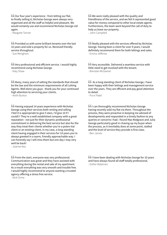**GC** Our four year's experience - from letting our flat, to finally selling it; Nicholas George were always very organised and all the staff so helpful and pleasant. We would certainly use and recommend Nicholas George Ltd again.

- Margaret Tanner

**SC** Provided us with some brilliant tenants over the last 10 years and sold a property for us. Received friendly service throughout.

- Sue Mengham

**GG** Very professional and efficient service. I would highly recommend using Nicholas George. - Katy Shaw

**66** Many, many years of setting the standards that should be the law and the minimum requirements of all Letting Agents. Well done you guys - thank you for your continued high attention to servicing your clients. - Keith Burton

**f** Having enjoyed 14 years experience with Nicholas George using their services both renting and selling I feel it is appropriate to give 5 stars, I'd give 10 if I could!!! They're a well established company with a great reputation - not just for their dynamic professional commitment in delivering the best service but also for the way they treat their clients whether you're a poten-tial client or an existing client, in my case, a long standing client having engaged in their services for 14 years you're always greeted in a warm, friendly approachable way. I can honestly say I will miss them but one day I may very well be back!

- Joanne Key

**f**f From the start, everyone was very professional. Communication was great and they have assisted with everything during the rental and sale of my apartment. As a result everything was very smooth and trouble free. I would highly recommend to anyone wanting a trusted agency offering a stress free service. - Nick Orme

**66** We were really pleased with the quality and friendliness of the service, and we felt it represented good value for money compared to other local estate agents. Furthermore, the team went beyond the call of duty to help us lease our property. - John Campbell

**GE** Really pleased with the services offered by Nicholas George. Having been a client for over 9 years, I would definitely recommend them for both lettings and sales. - Emma Jefferies

**f** Very accessible. Delivered a seamless service with little need to get involved with the tenant. - Brendan McGeever

**66** As a long standing client of Nicholas George, I have been happy with their lettings and management service over the years. They are efficient and pay good attention to detail.

- Purvi Patel

**I** can thoroughly recommend Nicholas George having recently sold my flat via them. Throughout the process, they were proactive in keeping me advised of developments and responded in a timely fashion to any queries or concerns I had. I found Max Redgrave and Julia George particularly good in chasing up my buyer when the process, as it inevitably does at some point, stalled and the level of service they provide is first class. - Ben James

**I** I have been dealing with Nicholas George for 10 years and have always found all staff totally professional. - Esther Bateman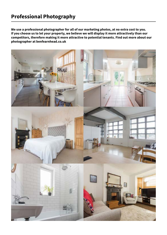### **Professional Photography**

**We use a professional photographer for all of our marketing photos, at no extra cost to you. If you choose us to let your property, we believe we will display it more attractively than our competitors, therefore making it more attractive to potential tenants. Find out more about our photographer at [benfearnhead.co.uk](https://benfearnhead.co.uk/)**

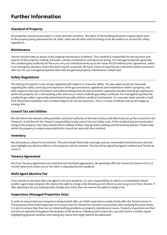### **Further Information**

#### **Standard of Property**

All properties should be provided in a clean and tidy condition. The fabric of the building should be in good repair prior to the property being advertised for let. Beds, sofas and all other soft furnishings must all conform to current fire safety regulations.

#### **Maintenance**

Owners should make us aware of any ongoing maintenance problems. The Landlord is responsible for the structure and exterior of the property, heating, hot water, sanitary installations and electrical wiring. For managed properties generally the Landlord gives authority for the us to carry out individual works up to the value of £150 without prior agreement, unless in an emergency situation where this limit may be surpassed. We have a team of experienced, tried and trusted contractors who can, for our managed properties deal with any general property maintenance related task.

#### **Safety Regulations**

The letting of property is now closely regulated with respect to consumer safety. The law makes particular demands regarding the safety, servicing and inspection of the gas and electric appliances and installations within a property, and with respect to the type of furniture and soft furnishings that are also provided. Legislation dictates that all gas appliances within the property are in full working order and carry a valid Landlords gas safety certificate. For managed properties the Landlords gas safety is generally administered annually without Landlord involvement. It is now also lawto provide a valid EICR (Electrical Installation and Condition Report) for all new tenancies. This is a 5 year certificate and we are happy to arrange this.

#### **Council Tax and Utilities**

We will inform the relevant utility providers and local authority of the new tenancy and effectively set up the account for the Tenant(s). It will then be the Tenant's responsibility to pay council tax and utility costs. If the Landlord has previously been living at the property, then they should inform utilities of their closing meter readings and forwarding address. Please note, whilst the property is empty responsibility for council tax rests with the Landlord.

#### **Inventory**

We will produce a basic list of contents. This will include floor/wall coverings and any removeable items/furniture and will also highlight any obvious defects in the property and its contents. This list will be signed by Agent/Landlord and Tenant at move in.

#### **Tenancy Agreement**

All of our Tenancy Agreements are valid Assured Shorthold agreements. We generally offer the Tenant the choice of 6 or 12 month initial term unless one or the other is stipulated by the Landlord.

#### **Multi Agent Abortive Fee**

If you decide to use more than one agent to let your property, it is your responsibility to inform us immediately should another agent take a deposit. We reserve the right to charge a fee should you not inform us and we go on to find a Tenant. If after agreeing a let, you subsequently change your mind, then we reserve the right to charge a fee.

#### **Inspections (Managed Properties Only)**

In order to ensure that your property is being looked after, an initial inspection is made shortly after the Tenant moves in. The purpose of this initial inspection is to ensure that the Tenant has moved in successfully and is keeping the place nicely. It is also to ensure that there are no initial teething problems or property maintenance issues. Property inspections are then carried out regularly throughout the duration of the tenancy. Following each inspection, you will receive a written report highlighting general condition and noting any issues that might need to be addressed.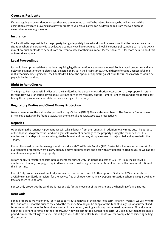#### **Overseas Residents**

If you are going to be resident overseas then you are required to notify the Inland Revenue, who will issue us with an exemption certificate allowing us to pay your rents to you gross. Forms can be downloaded from the web address <www.inlandrevenue.gov.uk/cnr>

#### **Insurance**

The Landlord is responsible for the property being adequately insured and should also ensure that the policy covers the situation where the property is to be let. As a company we have taken out a block insurance policy. Being part of this policy may allow our Landlords to benefit from preferential rates for their insurance. Please speak to us for more details about this or to receive a quote.

#### **Legal Proceedings**

It should be emphasised that situations requiring legal intervention are very rare indeed. For Managed properties and any delays in payment or other defaults will be acted on by us in the first instance. Should these efforts be unsuccessful or if rent arrears become significant, the Landlord will have the option of appointing a solicitor, the full costs of which would be payable by the Landlord.

#### **Right to Rent Checks**

The Right to Rent responsibility lies with the Landlord as the person who authorises occupation of the property in return for rent. However, for certain levels of our Lettings service we will carry out the Right to Rent checks and be responsible for taking the steps necessary to establish an excuse against a penalty.

#### **Regulatory Bodies and Client Money Protection**

We are members of the National Approved Lettings Scheme (NALS). We are also members of The Property Ombudsmen (TPO). Full details can be found at<www.nalscheme.co.uk> and [www.tpos.co.uk](www.nalscheme.co.uk) respectively.

#### **Deposits**

Upon signing the Tenancy Agreement, we will take a deposit from the Tenant(s) in addition to any rents due. The purpose of the deposit is to protect the Landlord against loss of rent or damage to the property during the tenancy itself. It is emphasised that deposit money belongs to the Tenant and that any stoppages need to be justified and agreed with the Tenant.

For our Managed properties we register all deposits with The Dispute Service (TDS) Custodial scheme at no extra cost. For our Managed properties, we will carry out a full move out procedure and deal with any deposit related issues, as well as any maintenance required at the property.

We are happy to register deposits in this scheme for our Let-Only landlords at a cost of £30 + VAT (£36 inclusive). It is emphasised that any stoppages required from deposit must be agreed with the Tenant and we will require notification of this in writing.

For Let Only properties, as a Landlord you can also choose from one of 2 other options. Firstly the TDS scheme above is available for Landlords to register for themselves free of charge. Alternatively, Deposit Protection Scheme (DPS) is available free of charge to Landlords.

For Let Only properties the Landlord is responsible for the move out of the Tenant and the handling of any disputes.

#### **Renewals**

For all properties we will offer our services to carry out a renewal of the initial fixed term Tenancy. Typically we will write to the Landlord 2-3 months prior to the end of the tenancy. Should you be happy for the Tenant to sign up for a further fixed term, we would write to the Tenant in advance of their tenancy ending, enclosing our renewal paperwork. Should you be happy for a Tenant to remain at the property, but not wish commit to a further fixed term, you can allow them to go onto a periodic (monthly rolling) tenancy. This will give you a little more flexibility, should you for example be considering selling the property.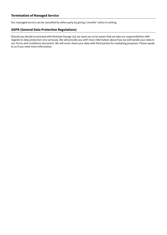Our managed service can be cancelled by either party by giving 2 months' notice in writing.

#### **GDPR (General Data Protection Regulations)**

Should you decide to proceed with Nicholas George Ltd, we want you to be aware that we take our responsibilities with regards to data protection very seriously. We will provide you with more information about how we will handle your data in our Terms and Conditions document. We will never share your data with third parties for marketing purposes. Please speak to us if you need more information.